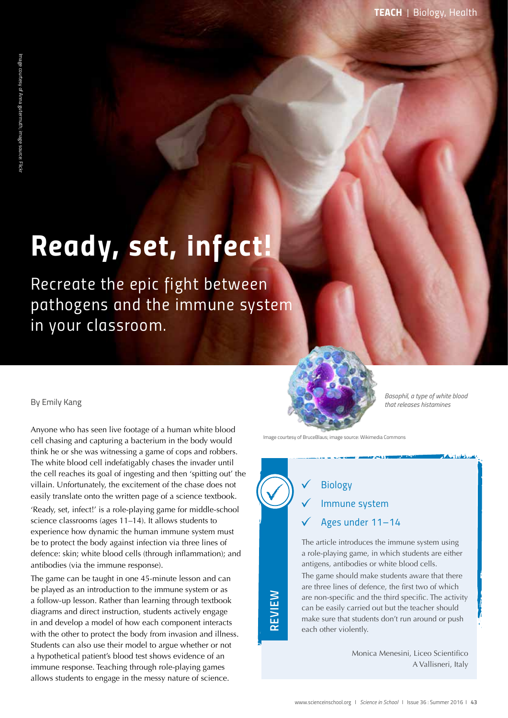# *Ready, set, infect!*

*Recreate the epic fight between pathogens and the immune system in your classroom.*

#### By Emily Kang

Anyone who has seen live footage of a human white blood cell chasing and capturing a bacterium in the body would think he or she was witnessing a game of cops and robbers. The white blood cell indefatigably chases the invader until the cell reaches its goal of ingesting and then 'spitting out' the villain. Unfortunately, the excitement of the chase does not easily translate onto the written page of a science textbook. 'Ready, set, infect!' is a role-playing game for middle-school science classrooms (ages 11–14). It allows students to

experience how dynamic the human immune system must be to protect the body against infection via three lines of defence: skin; white blood cells (through inflammation); and antibodies (via the immune response).

The game can be taught in one 45-minute lesson and can be played as an introduction to the immune system or as a follow-up lesson. Rather than learning through textbook diagrams and direct instruction, students actively engage in and develop a model of how each component interacts with the other to protect the body from invasion and illness. Students can also use their model to argue whether or not a hypothetical patient's blood test shows evidence of an immune response. Teaching through role-playing games allows students to engage in the messy nature of science.



*Basophil, a type of white blood that releases histamines* 

Image courtesy of BruceBlaus; image source: Wikimedia Commons

# *Biology*

*REVIEW*

# *Immune system*

### *Ages under 11–14*

The article introduces the immune system using a role-playing game, in which students are either antigens, antibodies or white blood cells.

The game should make students aware that there are three lines of defence, the first two of which are non-specific and the third specific. The activity can be easily carried out but the teacher should make sure that students don't run around or push each other violently.

> Monica Menesini, Liceo Scientifico A Vallisneri, Italy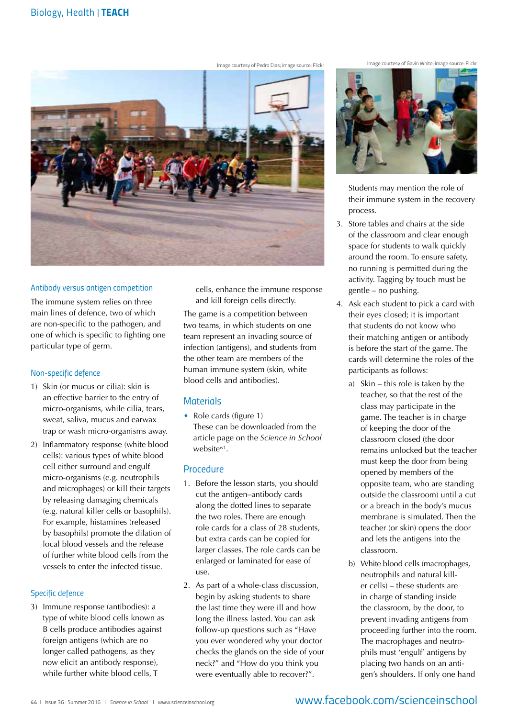

#### *Antibody versus antigen competition*

The immune system relies on three main lines of defence, two of which are non-specific to the pathogen, and one of which is specific to fighting one particular type of germ.

#### *Non-specific defence*

- 1) Skin (or mucus or cilia): skin is an effective barrier to the entry of micro-organisms, while cilia, tears, sweat, saliva, mucus and earwax trap or wash micro-organisms away.
- 2) Inflammatory response (white blood cells): various types of white blood cell either surround and engulf micro-organisms (e.g. neutrophils and microphages) or kill their targets by releasing damaging chemicals (e.g. natural killer cells or basophils). For example, histamines (released by basophils) promote the dilation of local blood vessels and the release of further white blood cells from the vessels to enter the infected tissue.

#### *Specific defence*

3) Immune response (antibodies): a type of white blood cells known as B cells produce antibodies against foreign antigens (which are no longer called pathogens, as they now elicit an antibody response), while further white blood cells, T

cells, enhance the immune response and kill foreign cells directly.

The game is a competition between two teams, in which students on one team represent an invading source of infection (antigens), and students from the other team are members of the human immune system (skin, white blood cells and antibodies).

#### *Materials*

• Role cards (figure 1) These can be downloaded from the article page on the *Science in School* websitew1.

#### *Procedure*

- 1. Before the lesson starts, you should cut the antigen–antibody cards along the dotted lines to separate the two roles. There are enough role cards for a class of 28 students, but extra cards can be copied for larger classes. The role cards can be enlarged or laminated for ease of use.
- 2. As part of a whole-class discussion, begin by asking students to share the last time they were ill and how long the illness lasted. You can ask follow-up questions such as "Have you ever wondered why your doctor checks the glands on the side of your neck?" and "How do you think you were eventually able to recover?".

Image courtesy of Gavin White; image source: Flickr Image courtesy of Gavin White; image source: Flickr



Students may mention the role of their immune system in the recovery process.

- 3. Store tables and chairs at the side of the classroom and clear enough space for students to walk quickly around the room. To ensure safety, no running is permitted during the activity. Tagging by touch must be gentle – no pushing.
- 4. Ask each student to pick a card with their eyes closed; it is important that students do not know who their matching antigen or antibody is before the start of the game. The cards will determine the roles of the participants as follows:
	- a) Skin this role is taken by the teacher, so that the rest of the class may participate in the game. The teacher is in charge of keeping the door of the classroom closed (the door remains unlocked but the teacher must keep the door from being opened by members of the opposite team, who are standing outside the classroom) until a cut or a breach in the body's mucus membrane is simulated. Then the teacher (or skin) opens the door and lets the antigens into the classroom.
	- b) White blood cells (macrophages, neutrophils and natural killer cells) – these students are in charge of standing inside the classroom, by the door, to prevent invading antigens from proceeding further into the room. The macrophages and neutrophils must 'engulf' antigens by placing two hands on an antigen's shoulders. If only one hand

## www.facebook.com/scienceinschool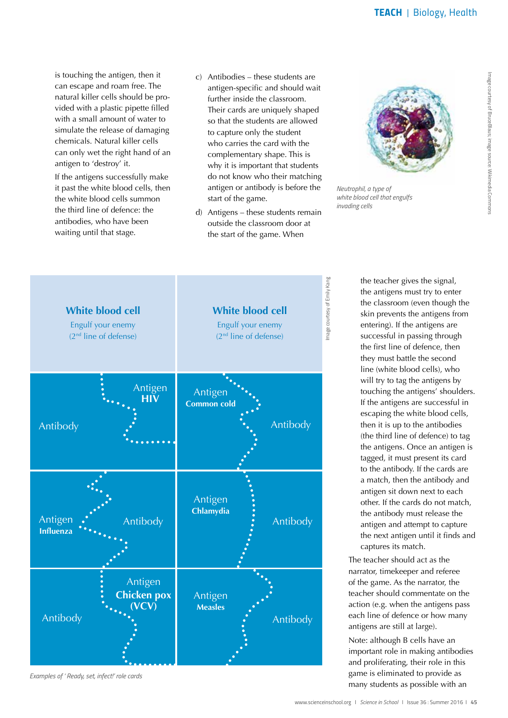is touching the antigen, then it can escape and roam free. The natural killer cells should be provided with a plastic pipette filled with a small amount of water to simulate the release of damaging chemicals. Natural killer cells can only wet the right hand of an antigen to 'destroy' it.

If the antigens successfully make it past the white blood cells, then the white blood cells summon the third line of defence: the antibodies, who have been waiting until that stage.

- c) Antibodies these students are antigen-specific and should wait further inside the classroom. Their cards are uniquely shaped so that the students are allowed to capture only the student who carries the card with the complementary shape. This is why it is important that students do not know who their matching antigen or antibody is before the start of the game.
- d) Antigens these students remain outside the classroom door at the start of the game. When



*Neutrophil, a type of white blood cell that engulfs invading cells*



*Examples of ' Ready, set, infect!' role cards*

the teacher gives the signal, the antigens must try to enter the classroom (even though the skin prevents the antigens from entering). If the antigens are successful in passing through the first line of defence, then they must battle the second line (white blood cells), who will try to tag the antigens by touching the antigens' shoulders. If the antigens are successful in escaping the white blood cells, then it is up to the antibodies (the third line of defence) to tag the antigens. Once an antigen is tagged, it must present its card to the antibody. If the cards are a match, then the antibody and antigen sit down next to each other. If the cards do not match, the antibody must release the antigen and attempt to capture the next antigen until it finds and captures its match.

The teacher should act as the narrator, timekeeper and referee of the game. As the narrator, the teacher should commentate on the action (e.g. when the antigens pass each line of defence or how many antigens are still at large).

Note: although B cells have an important role in making antibodies and proliferating, their role in this game is eliminated to provide as many students as possible with an